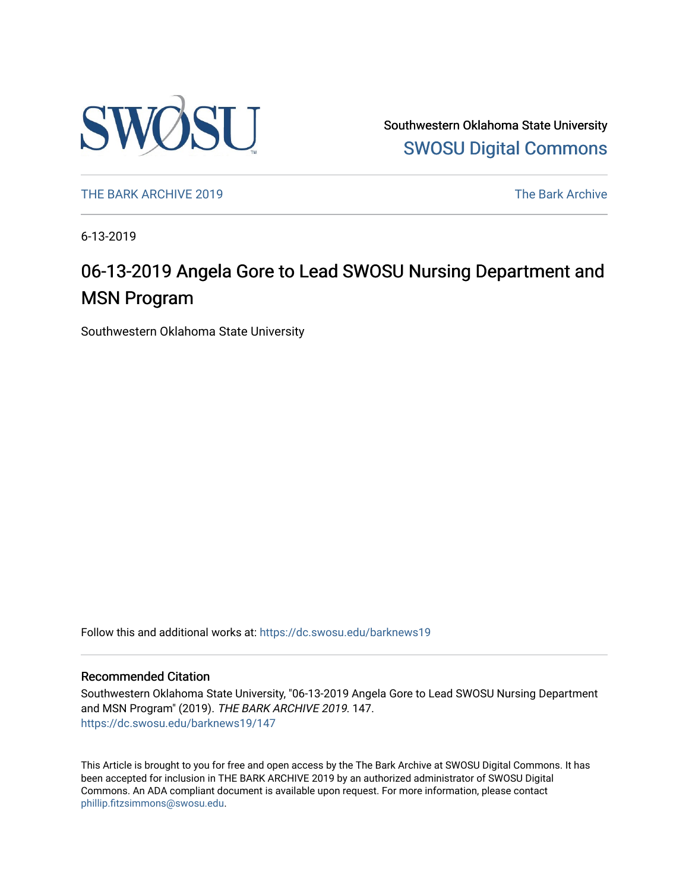

Southwestern Oklahoma State University [SWOSU Digital Commons](https://dc.swosu.edu/) 

[THE BARK ARCHIVE 2019](https://dc.swosu.edu/barknews19) The Bark Archive

6-13-2019

### 06-13-2019 Angela Gore to Lead SWOSU Nursing Department and MSN Program

Southwestern Oklahoma State University

Follow this and additional works at: [https://dc.swosu.edu/barknews19](https://dc.swosu.edu/barknews19?utm_source=dc.swosu.edu%2Fbarknews19%2F147&utm_medium=PDF&utm_campaign=PDFCoverPages)

#### Recommended Citation

Southwestern Oklahoma State University, "06-13-2019 Angela Gore to Lead SWOSU Nursing Department and MSN Program" (2019). THE BARK ARCHIVE 2019. 147. [https://dc.swosu.edu/barknews19/147](https://dc.swosu.edu/barknews19/147?utm_source=dc.swosu.edu%2Fbarknews19%2F147&utm_medium=PDF&utm_campaign=PDFCoverPages)

This Article is brought to you for free and open access by the The Bark Archive at SWOSU Digital Commons. It has been accepted for inclusion in THE BARK ARCHIVE 2019 by an authorized administrator of SWOSU Digital Commons. An ADA compliant document is available upon request. For more information, please contact [phillip.fitzsimmons@swosu.edu](mailto:phillip.fitzsimmons@swosu.edu).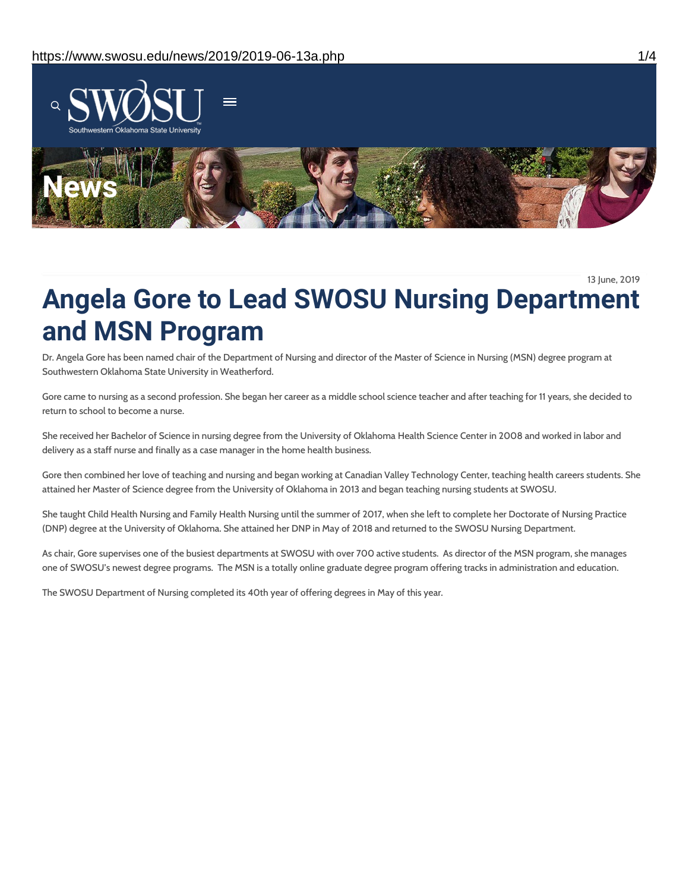

13 June, 2019

# **Angela Gore to Lead SWOSU Nursing Department and MSN Program**

Dr. Angela Gore has been named chair of the Department of Nursing and director of the Master of Science in Nursing (MSN) degree program at Southwestern Oklahoma State University in Weatherford.

Gore came to nursing as a second profession. She began her career as a middle school science teacher and after teaching for 11 years, she decided to return to school to become a nurse.

She received her Bachelor of Science in nursing degree from the University of Oklahoma Health Science Center in 2008 and worked in labor and delivery as a staff nurse and finally as a case manager in the home health business.

Gore then combined her love of teaching and nursing and began working at Canadian Valley Technology Center, teaching health careers students. She attained her Master of Science degree from the University of Oklahoma in 2013 and began teaching nursing students at SWOSU.

She taught Child Health Nursing and Family Health Nursing until the summer of 2017, when she left to complete her Doctorate of Nursing Practice (DNP) degree at the University of Oklahoma. She attained her DNP in May of 2018 and returned to the SWOSU Nursing Department.

As chair, Gore supervises one of the busiest departments at SWOSU with over 700 active students. As director of the MSN program, she manages one of SWOSU's newest degree programs. The MSN is a totally online graduate degree program offering tracks in administration and education.

The SWOSU Department of Nursing completed its 40th year of offering degrees in May of this year.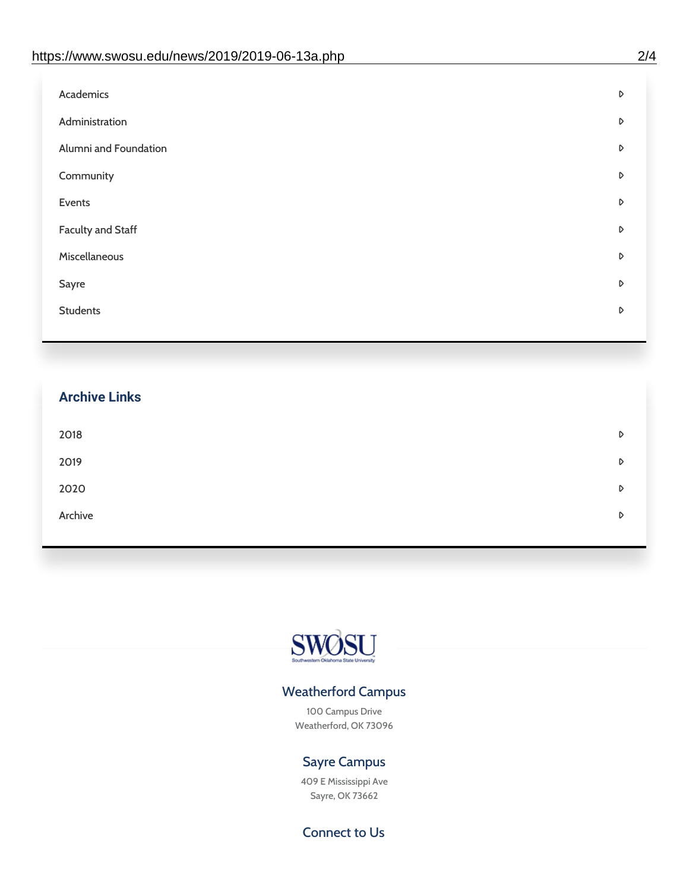| Administration<br>D<br>Alumni and Foundation<br>D<br>Community<br>D<br>Events<br>D | Academics | D |
|------------------------------------------------------------------------------------|-----------|---|
|                                                                                    |           |   |
|                                                                                    |           |   |
|                                                                                    |           |   |
|                                                                                    |           |   |
| <b>Faculty and Staff</b><br>D                                                      |           |   |
| Miscellaneous<br>D                                                                 |           |   |
| Sayre<br>D                                                                         |           |   |
| <b>Students</b><br>D                                                               |           |   |

## **Archive Links**  $2018$  $2019$ [2020](https://www.swosu.edu/news/2020/index.php)  $\bullet$ [Archive](https://dc.swosu.edu/bark/) **Archive Archive Archive Archive Archive** Archive Archive Archive Archive Archive Archive Archive Archive



### Weatherford Campus

100 Campus Drive Weatherford, OK 73096

### Sayre Campus

409 E Mississippi Ave Sayre, OK 73662

Connect to Us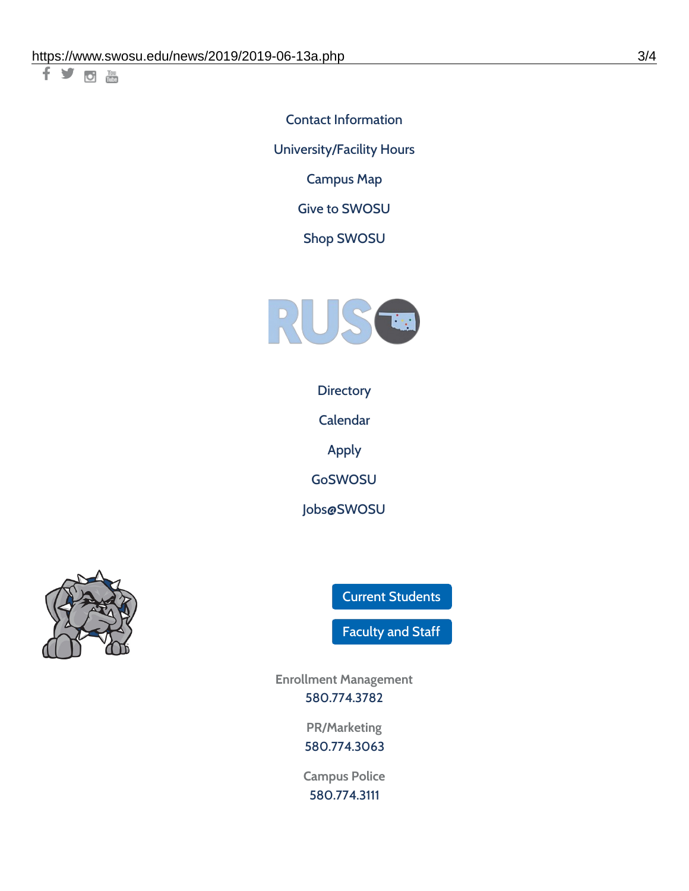千岁回调

Contact [Information](https://www.swosu.edu/about/contact.php) [University/Facility](https://www.swosu.edu/about/operating-hours.php) Hours [Campus](https://map.concept3d.com/?id=768#!ct/10964,10214,10213,10212,10205,10204,10203,10202,10136,10129,10128,0,31226,10130,10201,10641,0) Map

Give to [SWOSU](https://standingfirmly.com/donate)

Shop [SWOSU](https://shopswosu.merchorders.com/)



**[Directory](https://www.swosu.edu/directory/index.php)** 

[Calendar](https://eventpublisher.dudesolutions.com/swosu/)

[Apply](https://www.swosu.edu/admissions/apply-to-swosu.php)

[GoSWOSU](https://qlsso.quicklaunchsso.com/home/1267)

[Jobs@SWOSU](https://swosu.csod.com/ux/ats/careersite/1/home?c=swosu)



Current [Students](https://bulldog.swosu.edu/index.php)

[Faculty](https://bulldog.swosu.edu/faculty-staff/index.php) and Staff

**Enrollment Management** [580.774.3782](tel:5807743782)

> **PR/Marketing** [580.774.3063](tel:5807743063)

**Campus Police** [580.774.3111](tel:5807743111)